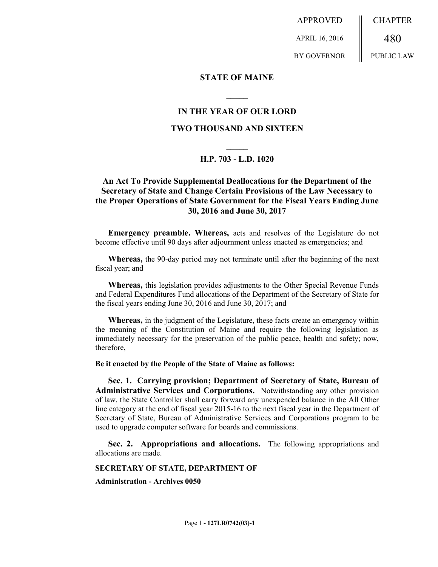APPROVED

APRIL 16, 2016

BY GOVERNOR

480 PUBLIC LAW

CHAPTER

### **STATE OF MAINE**

# **IN THE YEAR OF OUR LORD**

**\_\_\_\_\_**

## **TWO THOUSAND AND SIXTEEN**

# **\_\_\_\_\_ H.P. 703 - L.D. 1020**

# **An Act To Provide Supplemental Deallocations for the Department of the Secretary of State and Change Certain Provisions of the Law Necessary to the Proper Operations of State Government for the Fiscal Years Ending June 30, 2016 and June 30, 2017**

**Emergency preamble. Whereas,** acts and resolves of the Legislature do not become effective until 90 days after adjournment unless enacted as emergencies; and

**Whereas,** the 90-day period may not terminate until after the beginning of the next fiscal year; and

**Whereas,** this legislation provides adjustments to the Other Special Revenue Funds and Federal Expenditures Fund allocations of the Department of the Secretary of State for the fiscal years ending June 30, 2016 and June 30, 2017; and

**Whereas,** in the judgment of the Legislature, these facts create an emergency within the meaning of the Constitution of Maine and require the following legislation as immediately necessary for the preservation of the public peace, health and safety; now, therefore,

**Be it enacted by the People of the State of Maine as follows:**

**Sec. 1. Carrying provision; Department of Secretary of State, Bureau of Administrative Services and Corporations.** Notwithstanding any other provision of law, the State Controller shall carry forward any unexpended balance in the All Other line category at the end of fiscal year 2015-16 to the next fiscal year in the Department of Secretary of State, Bureau of Administrative Services and Corporations program to be used to upgrade computer software for boards and commissions.

**Sec. 2. Appropriations and allocations.** The following appropriations and allocations are made.

#### **SECRETARY OF STATE, DEPARTMENT OF**

#### **Administration - Archives 0050**